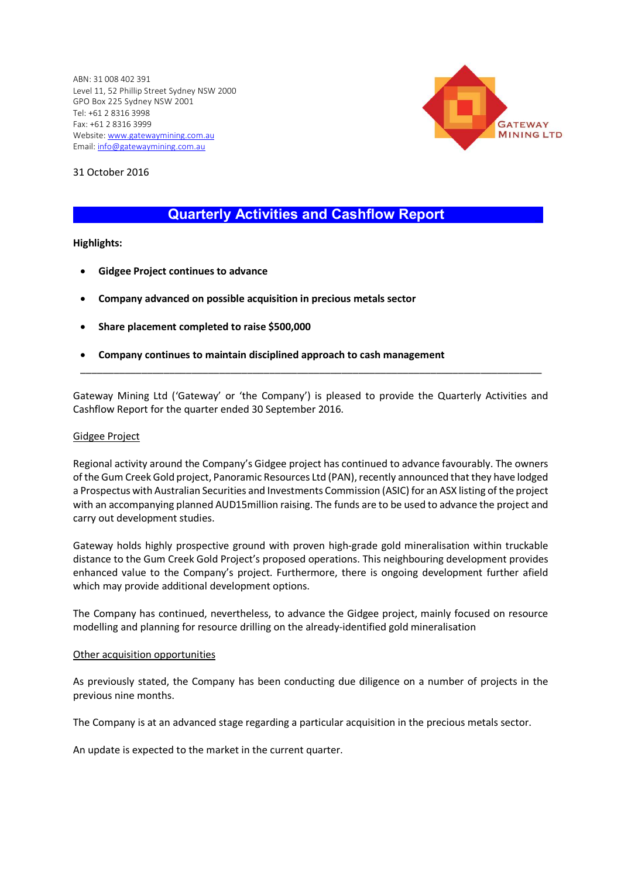ABN: 31 008 402 391 Level 11, 52 Phillip Street Sydney NSW 2000 GPO Box 225 Sydney NSW 2001 Tel: +61 2 8316 3998 Fax: +61 2 8316 3999 Website: www.gatewaymining.com.au Email: info@gatewaymining.com.au



31 October 2016

# Quarterly Activities and Cashflow Report \_

# Highlights:

- Gidgee Project continues to advance
- Company advanced on possible acquisition in precious metals sector
- Share placement completed to raise \$500,000
- Company continues to maintain disciplined approach to cash management

Gateway Mining Ltd ('Gateway' or 'the Company') is pleased to provide the Quarterly Activities and Cashflow Report for the quarter ended 30 September 2016.

\_\_\_\_\_\_\_\_\_\_\_\_\_\_\_\_\_\_\_\_\_\_\_\_\_\_\_\_\_\_\_\_\_\_\_\_\_\_\_\_\_\_\_\_\_\_\_\_\_\_\_\_\_\_\_\_\_\_\_\_\_\_\_\_\_\_\_\_\_\_\_\_\_\_\_\_\_\_\_\_\_\_\_

## Gidgee Project

Regional activity around the Company's Gidgee project has continued to advance favourably. The owners of the Gum Creek Gold project, Panoramic Resources Ltd (PAN), recently announced that they have lodged a Prospectus with Australian Securities and Investments Commission (ASIC) for an ASX listing of the project with an accompanying planned AUD15million raising. The funds are to be used to advance the project and carry out development studies.

Gateway holds highly prospective ground with proven high-grade gold mineralisation within truckable distance to the Gum Creek Gold Project's proposed operations. This neighbouring development provides enhanced value to the Company's project. Furthermore, there is ongoing development further afield which may provide additional development options.

The Company has continued, nevertheless, to advance the Gidgee project, mainly focused on resource modelling and planning for resource drilling on the already-identified gold mineralisation

#### Other acquisition opportunities

As previously stated, the Company has been conducting due diligence on a number of projects in the previous nine months.

The Company is at an advanced stage regarding a particular acquisition in the precious metals sector.

An update is expected to the market in the current quarter.